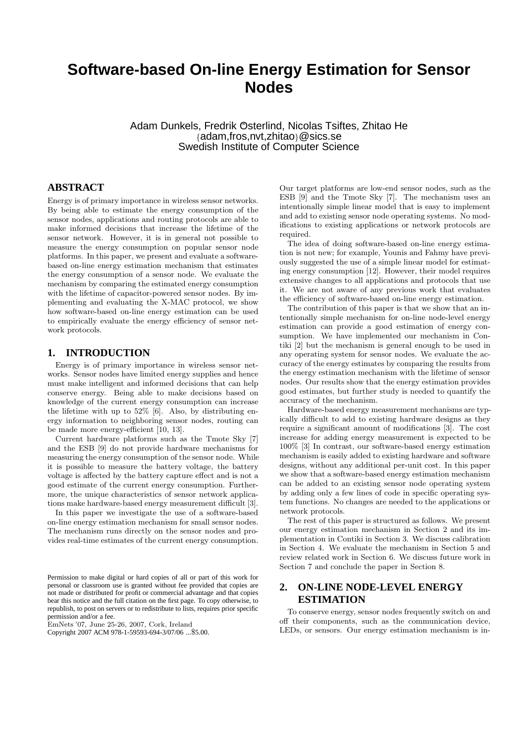# **Software-based On-line Energy Estimation for Sensor Nodes**

Adam Dunkels, Fredrik Osterlind, Nicolas Tsiftes, Zhitao He - {adam,fros,nvt,zhitao}@sics.se Swedish Institute of Computer Science

#### **ABSTRACT**

Energy is of primary importance in wireless sensor networks. By being able to estimate the energy consumption of the sensor nodes, applications and routing protocols are able to make informed decisions that increase the lifetime of the sensor network. However, it is in general not possible to measure the energy consumption on popular sensor node platforms. In this paper, we present and evaluate a softwarebased on-line energy estimation mechanism that estimates the energy consumption of a sensor node. We evaluate the mechanism by comparing the estimated energy consumption with the lifetime of capacitor-powered sensor nodes. By implementing and evaluating the X-MAC protocol, we show how software-based on-line energy estimation can be used to empirically evaluate the energy efficiency of sensor network protocols.

## **1. INTRODUCTION**

Energy is of primary importance in wireless sensor networks. Sensor nodes have limited energy supplies and hence must make intelligent and informed decisions that can help conserve energy. Being able to make decisions based on knowledge of the current energy consumption can increase the lifetime with up to  $52\%$  [6]. Also, by distributing energy information to neighboring sensor nodes, routing can be made more energy-efficient [10, 13].

Current hardware platforms such as the Tmote Sky [7] and the ESB [9] do not provide hardware mechanisms for measuring the energy consumption of the sensor node. While it is possible to measure the battery voltage, the battery voltage is affected by the battery capture effect and is not a good estimate of the current energy consumption. Furthermore, the unique characteristics of sensor network applications make hardware-based energy measurement difficult [3].

In this paper we investigate the use of a software-based on-line energy estimation mechanism for small sensor nodes. The mechanism runs directly on the sensor nodes and provides real-time estimates of the current energy consumption.

EmNets '07, June 25-26, 2007, Cork, Ireland

Our target platforms are low-end sensor nodes, such as the ESB [9] and the Tmote Sky [7]. The mechanism uses an intentionally simple linear model that is easy to implement and add to existing sensor node operating systems. No modifications to existing applications or network protocols are required.

The idea of doing software-based on-line energy estimation is not new; for example, Younis and Fahmy have previously suggested the use of a simple linear model for estimating energy consumption [12]. However, their model requires extensive changes to all applications and protocols that use it. We are not aware of any previous work that evaluates the efficiency of software-based on-line energy estimation.

The contribution of this paper is that we show that an intentionally simple mechanism for on-line node-level energy estimation can provide a good estimation of energy consumption. We have implemented our mechanism in Contiki [2] but the mechanism is general enough to be used in any operating system for sensor nodes. We evaluate the accuracy of the energy estimates by comparing the results from the energy estimation mechanism with the lifetime of sensor nodes. Our results show that the energy estimation provides good estimates, but further study is needed to quantify the accuracy of the mechanism.

Hardware-based energy measurement mechanisms are typically difficult to add to existing hardware designs as they require a significant amount of modifications [3]. The cost increase for adding energy measurement is expected to be 100% [3] In contrast, our software-based energy estimation mechanism is easily added to existing hardware and software designs, without any additional per-unit cost. In this paper we show that a software-based energy estimation mechanism can be added to an existing sensor node operating system by adding only a few lines of code in specific operating system functions. No changes are needed to the applications or network protocols.

The rest of this paper is structured as follows. We present our energy estimation mechanism in Section 2 and its implementation in Contiki in Section 3. We discuss calibration in Section 4. We evaluate the mechanism in Section 5 and review related work in Section 6. We discuss future work in Section 7 and conclude the paper in Section 8.

## **2. ON-LINE NODE-LEVEL ENERGY ESTIMATION**

To conserve energy, sensor nodes frequently switch on and off their components, such as the communication device, LEDs, or sensors. Our energy estimation mechanism is in-

Permission to make digital or hard copies of all or part of this work for personal or classroom use is granted without fee provided that copies are not made or distributed for profit or commercial advantage and that copies bear this notice and the full citation on the first page. To copy otherwise, to republish, to post on servers or to redistribute to lists, requires prior specific permission and/or a fee.

Copyright 2007 ACM 978-1-59593-694-3/07/06 ...\$5.00.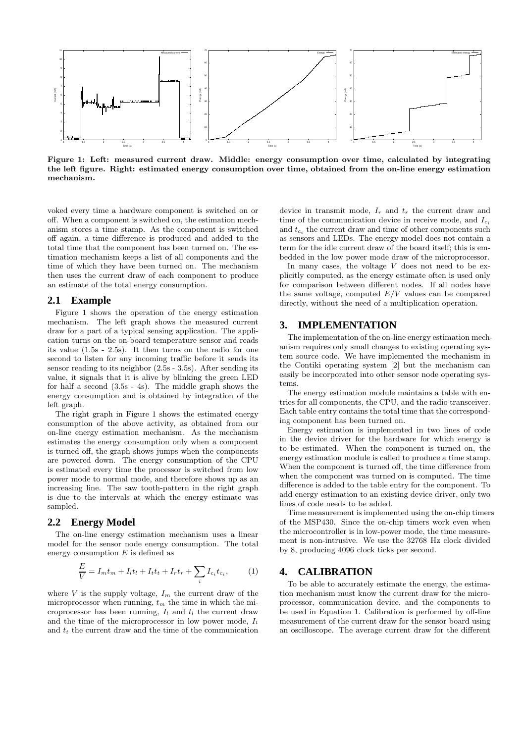

Figure 1: Left: measured current draw. Middle: energy consumption over time, calculated by integrating the left figure. Right: estimated energy consumption over time, obtained from the on-line energy estimation mechanism.

voked every time a hardware component is switched on or off. When a component is switched on, the estimation mechanism stores a time stamp. As the component is switched off again, a time difference is produced and added to the total time that the component has been turned on. The estimation mechanism keeps a list of all components and the time of which they have been turned on. The mechanism then uses the current draw of each component to produce an estimate of the total energy consumption.

#### **2.1 Example**

Figure 1 shows the operation of the energy estimation mechanism. The left graph shows the measured current draw for a part of a typical sensing application. The application turns on the on-board temperature sensor and reads its value (1.5s - 2.5s). It then turns on the radio for one second to listen for any incoming traffic before it sends its sensor reading to its neighbor (2.5s - 3.5s). After sending its value, it signals that it is alive by blinking the green LED for half a second (3.5s - 4s). The middle graph shows the energy consumption and is obtained by integration of the left graph.

The right graph in Figure 1 shows the estimated energy consumption of the above activity, as obtained from our on-line energy estimation mechanism. As the mechanism estimates the energy consumption only when a component is turned off, the graph shows jumps when the components are powered down. The energy consumption of the CPU is estimated every time the processor is switched from low power mode to normal mode, and therefore shows up as an increasing line. The saw tooth-pattern in the right graph is due to the intervals at which the energy estimate was sampled.

## **2.2 Energy Model**

The on-line energy estimation mechanism uses a linear model for the sensor node energy consumption. The total energy consumption  $E$  is defined as

$$
\frac{E}{V} = I_m t_m + I_l t_l + I_t t_t + I_r t_r + \sum_i I_{c_i} t_{c_i},\tag{1}
$$

where  $V$  is the supply voltage,  $I_m$  the current draw of the microprocessor when running,  $t_m$  the time in which the microprocessor has been running,  $I_l$  and  $t_l$  the current draw and the time of the microprocessor in low power mode,  $I_t$ and  $t_t$  the current draw and the time of the communication device in transmit mode,  $I_r$  and  $t_r$  the current draw and time of the communication device in receive mode, and  $I_{c_i}$ and  $t_{c_i}$  the current draw and time of other components such as sensors and LEDs. The energy model does not contain a term for the idle current draw of the board itself; this is embedded in the low power mode draw of the microprocessor.

In many cases, the voltage  $V$  does not need to be explicitly computed, as the energy estimate often is used only for comparison between different nodes. If all nodes have the same voltage, computed  $E/V$  values can be compared directly, without the need of a multiplication operation.

## **3. IMPLEMENTATION**

The implementation of the on-line energy estimation mechanism requires only small changes to existing operating system source code. We have implemented the mechanism in the Contiki operating system [2] but the mechanism can easily be incorporated into other sensor node operating systems.

The energy estimation module maintains a table with entries for all components, the CPU, and the radio transceiver. Each table entry contains the total time that the corresponding component has been turned on.

Energy estimation is implemented in two lines of code in the device driver for the hardware for which energy is to be estimated. When the component is turned on, the energy estimation module is called to produce a time stamp. When the component is turned off, the time difference from when the component was turned on is computed. The time difference is added to the table entry for the component. To add energy estimation to an existing device driver, only two lines of code needs to be added.

Time measurement is implemented using the on-chip timers of the MSP430. Since the on-chip timers work even when the microcontroller is in low-power mode, the time measurement is non-intrusive. We use the 32768 Hz clock divided by 8, producing 4096 clock ticks per second.

#### **4. CALIBRATION**

To be able to accurately estimate the energy, the estimation mechanism must know the current draw for the microprocessor, communication device, and the components to be used in Equation 1. Calibration is performed by off-line measurement of the current draw for the sensor board using an oscilloscope. The average current draw for the different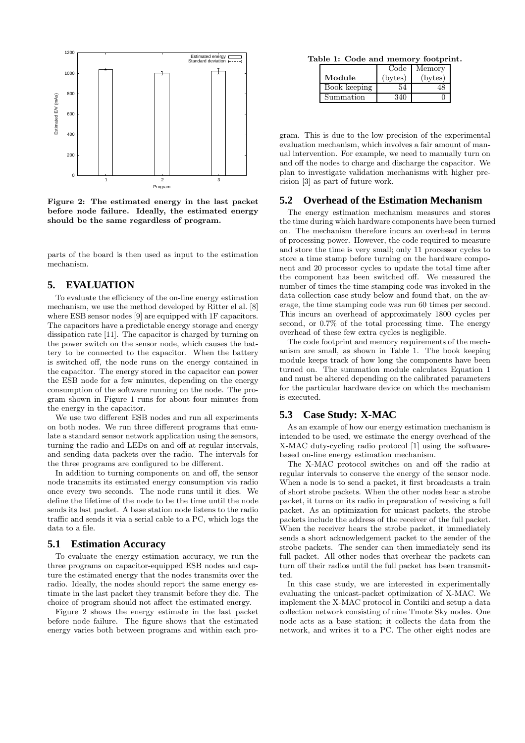

Figure 2: The estimated energy in the last packet before node failure. Ideally, the estimated energy should be the same regardless of program.

parts of the board is then used as input to the estimation mechanism.

## **5. EVALUATION**

To evaluate the efficiency of the on-line energy estimation mechanism, we use the method developed by Ritter el al. [8] where ESB sensor nodes [9] are equipped with 1F capacitors. The capacitors have a predictable energy storage and energy dissipation rate [11]. The capacitor is charged by turning on the power switch on the sensor node, which causes the battery to be connected to the capacitor. When the battery is switched off, the node runs on the energy contained in the capacitor. The energy stored in the capacitor can power the ESB node for a few minutes, depending on the energy consumption of the software running on the node. The program shown in Figure 1 runs for about four minutes from the energy in the capacitor.

We use two different ESB nodes and run all experiments on both nodes. We run three different programs that emulate a standard sensor network application using the sensors, turning the radio and LEDs on and off at regular intervals, and sending data packets over the radio. The intervals for the three programs are configured to be different.

In addition to turning components on and off, the sensor node transmits its estimated energy consumption via radio once every two seconds. The node runs until it dies. We define the lifetime of the node to be the time until the node sends its last packet. A base station node listens to the radio traffic and sends it via a serial cable to a PC, which logs the data to a file.

#### **5.1 Estimation Accuracy**

To evaluate the energy estimation accuracy, we run the three programs on capacitor-equipped ESB nodes and capture the estimated energy that the nodes transmits over the radio. Ideally, the nodes should report the same energy estimate in the last packet they transmit before they die. The choice of program should not affect the estimated energy.

Figure 2 shows the energy estimate in the last packet before node failure. The figure shows that the estimated energy varies both between programs and within each pro-

Table 1: Code and memory footprint.

|              | Code    | Memory  |
|--------------|---------|---------|
| Module       | (bytes) | (bvtes) |
| Book keeping | 54      |         |
| Summation    | 340     |         |

gram. This is due to the low precision of the experimental evaluation mechanism, which involves a fair amount of manual intervention. For example, we need to manually turn on and off the nodes to charge and discharge the capacitor. We plan to investigate validation mechanisms with higher precision [3] as part of future work.

#### **5.2 Overhead of the Estimation Mechanism**

The energy estimation mechanism measures and stores the time during which hardware components have been turned on. The mechanism therefore incurs an overhead in terms of processing power. However, the code required to measure and store the time is very small; only 11 processor cycles to store a time stamp before turning on the hardware component and 20 processor cycles to update the total time after the component has been switched off. We measured the number of times the time stamping code was invoked in the data collection case study below and found that, on the average, the time stamping code was run 60 times per second. This incurs an overhead of approximately 1800 cycles per second, or 0.7% of the total processing time. The energy overhead of these few extra cycles is negligible.

The code footprint and memory requirements of the mechanism are small, as shown in Table 1. The book keeping module keeps track of how long the components have been turned on. The summation module calculates Equation 1 and must be altered depending on the calibrated parameters for the particular hardware device on which the mechanism is executed.

## **5.3 Case Study: X-MAC**

As an example of how our energy estimation mechanism is intended to be used, we estimate the energy overhead of the X-MAC duty-cycling radio protocol [1] using the softwarebased on-line energy estimation mechanism.

The X-MAC protocol switches on and off the radio at regular intervals to conserve the energy of the sensor node. When a node is to send a packet, it first broadcasts a train of short strobe packets. When the other nodes hear a strobe packet, it turns on its radio in preparation of receiving a full packet. As an optimization for unicast packets, the strobe packets include the address of the receiver of the full packet. When the receiver hears the strobe packet, it immediately sends a short acknowledgement packet to the sender of the strobe packets. The sender can then immediately send its full packet. All other nodes that overhear the packets can turn off their radios until the full packet has been transmitted.

In this case study, we are interested in experimentally evaluating the unicast-packet optimization of X-MAC. We implement the X-MAC protocol in Contiki and setup a data collection network consisting of nine Tmote Sky nodes. One node acts as a base station; it collects the data from the network, and writes it to a PC. The other eight nodes are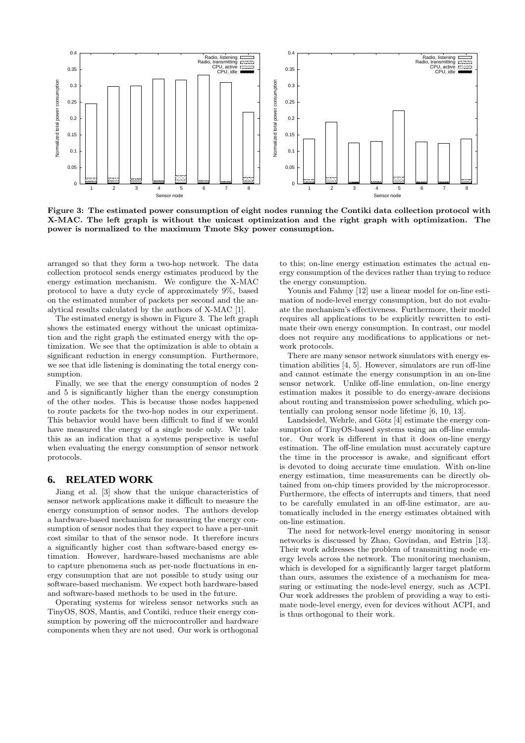

Figure 3: The estimated power consumption of eight nodes running the Contiki data collection protocol with X-MAC. The left graph is without the unicast optimization and the right graph with optimization. The power is normalized to the maximum Tmote Sky power consumption.

arranged so that they form a two-hop network. The data collection protocol sends energy estimates produced by the energy estimation mechanism. We configure the X-MAC protocol to have a duty cycle of approximately 9%, based on the estimated number of packets per second and the analytical results calculated by the authors of X-MAC [1].

The estimated energy is shown in Figure 3. The left graph shows the estimated energy without the unicast optimization and the right graph the estimated energy with the optimization. We see that the optimization is able to obtain a significant reduction in energy consumption. Furthermore, we see that idle listening is dominating the total energy consumption.

Finally, we see that the energy consumption of nodes 2 and 5 is significantly higher than the energy consumption of the other nodes. This is because those nodes happened to route packets for the two-hop nodes in our experiment. This behavior would have been difficult to find if we would have measured the energy of a single node only. We take this as an indication that a systems perspective is useful when evaluating the energy consumption of sensor network protocols.

#### **6. RELATED WORK**

Jiang et al. [3] show that the unique characteristics of sensor network applications make it difficult to measure the energy consumption of sensor nodes. The authors develop a hardware-based mechanism for measuring the energy consumption of sensor nodes that they expect to have a per-unit cost similar to that of the sensor node. It therefore incurs a significantly higher cost than software-based energy estimation. However, hardware-based mechanisms are able to capture phenomena such as per-node fluctuations in energy consumption that are not possible to study using our software-based mechanism. We expect both hardware-based and software-based methods to be used in the future.

Operating systems for wireless sensor networks such as TinyOS, SOS, Mantis, and Contiki, reduce their energy consumption by powering off the microcontroller and hardware components when they are not used. Our work is orthogonal to this; on-line energy estimation estimates the actual energy consumption of the devices rather than trying to reduce the energy consumption.

Younis and Fahmy [12] use a linear model for on-line estimation of node-level energy consumption, but do not evaluate the mechanism's effectiveness. Furthermore, their model requires all applications to be explicitly rewritten to estimate their own energy consumption. In contrast, our model does not require any modifications to applications or network protocols.

There are many sensor network simulators with energy estimation abilities [4, 5]. However, simulators are run off-line and cannot estimate the energy consumption in an on-line sensor network. Unlike off-line emulation, on-line energy estimation makes it possible to do energy-aware decisions about routing and transmission power scheduling, which potentially can prolong sensor node lifetime [6, 10, 13].

Landsiedel, Wehrle, and Götz [4] estimate the energy consumption of TinyOS-based systems using an off-line emulator. Our work is different in that it does on-line energy estimation. The off-line emulation must accurately capture the time in the processor is awake, and significant effort is devoted to doing accurate time emulation. With on-line energy estimation, time measurements can be directly obtained from on-chip timers provided by the microprocessor. Furthermore, the effects of interrupts and timers, that need to be carefully emulated in an off-line estimator, are automatically included in the energy estimates obtained with on-line estimation.

The need for network-level energy monitoring in sensor networks is discussed by Zhao, Govindan, and Estrin [13]. Their work addresses the problem of transmitting node energy levels across the network. The monitoring mechanism, which is developed for a significantly larger target platform than ours, assumes the existence of a mechanism for measuring or estimating the node-level energy, such as ACPI. Our work addresses the problem of providing a way to estimate node-level energy, even for devices without ACPI, and is thus orthogonal to their work.